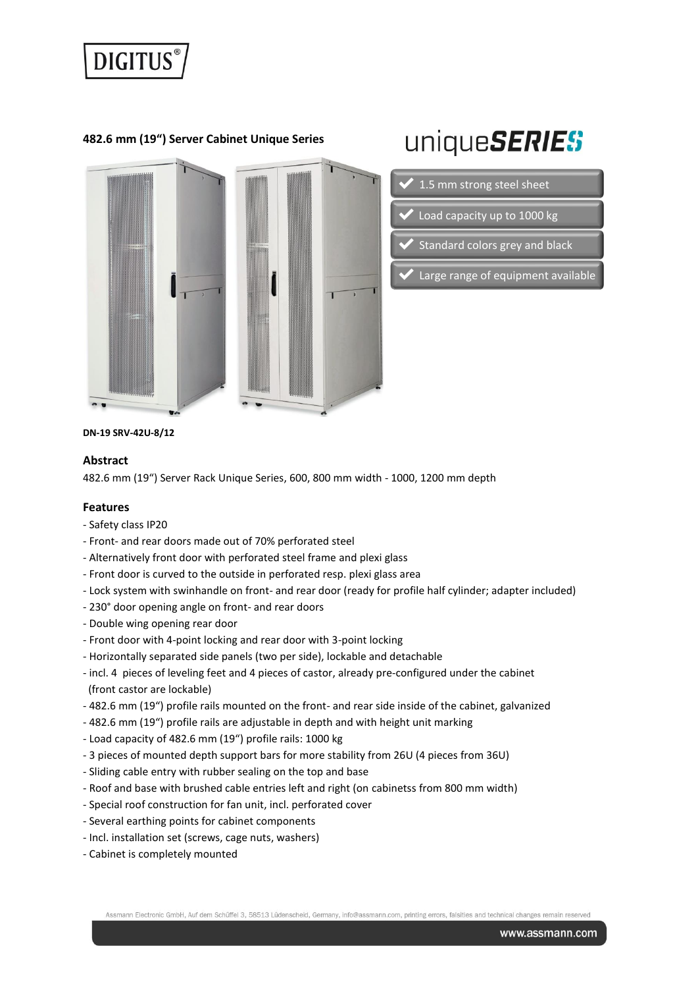

**482.6 mm (19") Server Cabinet Unique Series**



# uniqueSERIES

- 1.5 mm strong steel sheet
- Load capacity up to 1000 kg
- Standard colors grey and black
- Large range of equipment available

**DN-19 SRV-42U-8/12**

#### **Abstract**

482.6 mm (19") Server Rack Unique Series, 600, 800 mm width - 1000, 1200 mm depth

#### **Features**

- Safety class IP20
- Front- and rear doors made out of 70% perforated steel
- Alternatively front door with perforated steel frame and plexi glass
- Front door is curved to the outside in perforated resp. plexi glass area
- Lock system with swinhandle on front- and rear door (ready for profile half cylinder; adapter included)
- 230° door opening angle on front- and rear doors
- Double wing opening rear door
- Front door with 4-point locking and rear door with 3-point locking
- Horizontally separated side panels (two per side), lockable and detachable
- incl. 4 pieces of leveling feet and 4 pieces of castor, already pre-configured under the cabinet (front castor are lockable)
- 482.6 mm (19") profile rails mounted on the front- and rear side inside of the cabinet, galvanized
- 482.6 mm (19") profile rails are adjustable in depth and with height unit marking
- Load capacity of 482.6 mm (19") profile rails: 1000 kg
- 3 pieces of mounted depth support bars for more stability from 26U (4 pieces from 36U)
- Sliding cable entry with rubber sealing on the top and base
- Roof and base with brushed cable entries left and right (on cabinetss from 800 mm width)
- Special roof construction for fan unit, incl. perforated cover
- Several earthing points for cabinet components
- Incl. installation set (screws, cage nuts, washers)
- Cabinet is completely mounted

Assmann Electronic GmbH, Auf dem Schüffel 3, 58513 Lüdenscheid, Germany, info@assmann.com, printing errors, falsities and technical changes remain rese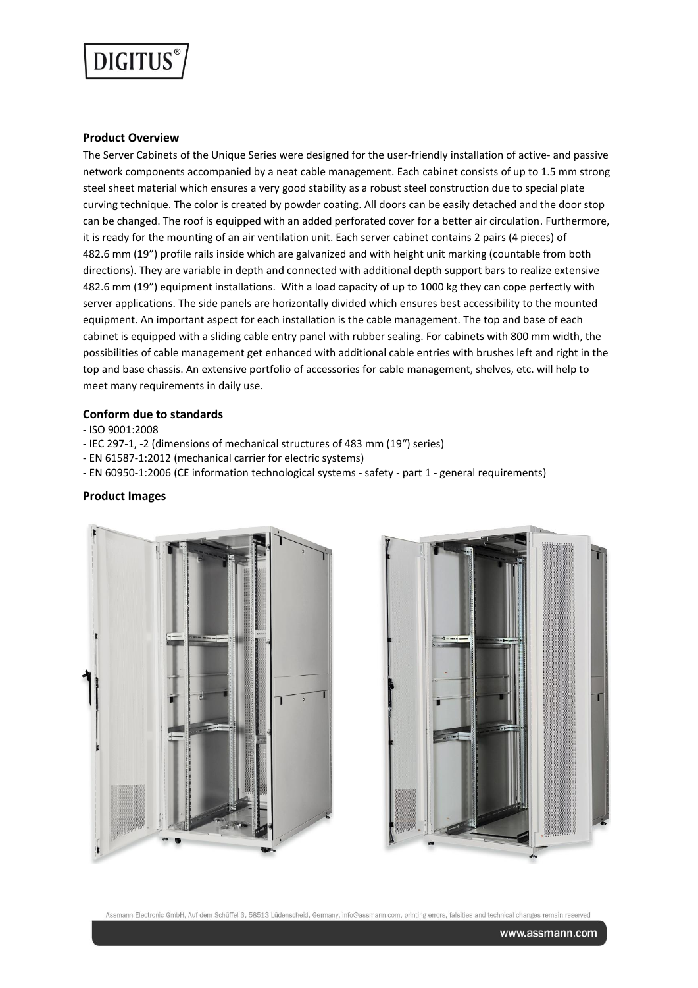

#### **Product Overview**

The Server Cabinets of the Unique Series were designed for the user-friendly installation of active- and passive network components accompanied by a neat cable management. Each cabinet consists of up to 1.5 mm strong steel sheet material which ensures a very good stability as a robust steel construction due to special plate curving technique. The color is created by powder coating. All doors can be easily detached and the door stop can be changed. The roof is equipped with an added perforated cover for a better air circulation. Furthermore, it is ready for the mounting of an air ventilation unit. Each server cabinet contains 2 pairs (4 pieces) of 482.6 mm (19") profile rails inside which are galvanized and with height unit marking (countable from both directions). They are variable in depth and connected with additional depth support bars to realize extensive 482.6 mm (19") equipment installations. With a load capacity of up to 1000 kg they can cope perfectly with server applications. The side panels are horizontally divided which ensures best accessibility to the mounted equipment. An important aspect for each installation is the cable management. The top and base of each cabinet is equipped with a sliding cable entry panel with rubber sealing. For cabinets with 800 mm width, the possibilities of cable management get enhanced with additional cable entries with brushes left and right in the top and base chassis. An extensive portfolio of accessories for cable management, shelves, etc. will help to meet many requirements in daily use.

#### **Conform due to standards**

- ISO 9001:2008

- IEC 297-1, -2 (dimensions of mechanical structures of 483 mm (19") series)
- EN 61587-1:2012 (mechanical carrier for electric systems)
- EN 60950-1:2006 (CE information technological systems safety part 1 general requirements)

#### **Product Images**





Assmann Electronic GmbH, Auf dem Schüffel 3, 58513 Lüdenscheid, Germany, info@assmann.com, printing errors, falsities and technical changes remain reserver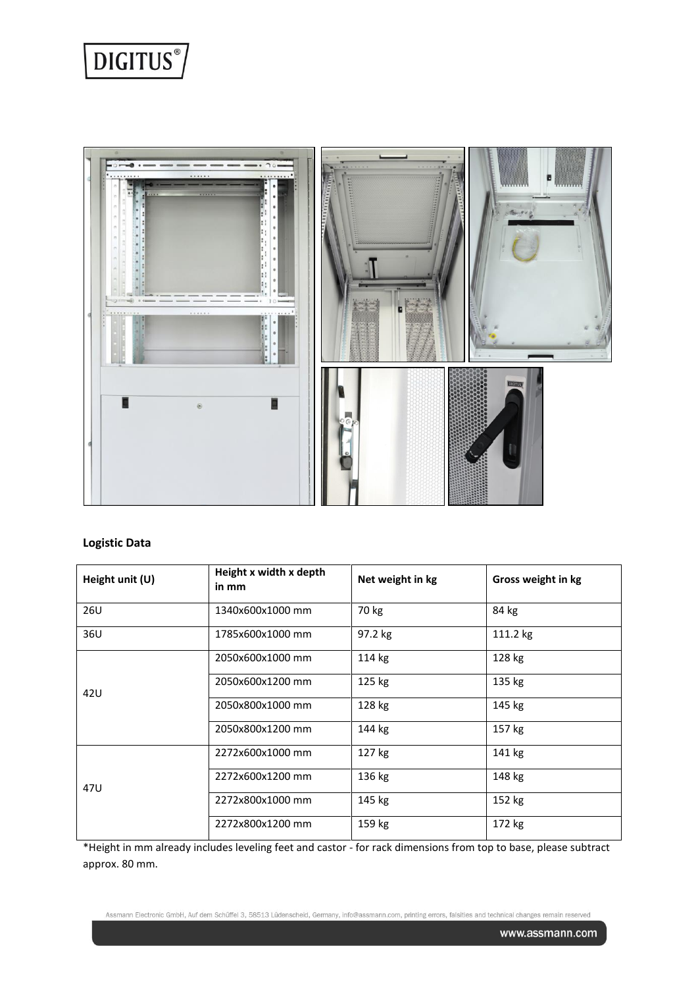



# **Logistic Data**

| Height unit (U) | Height x width x depth<br>in mm | Net weight in kg | Gross weight in kg |
|-----------------|---------------------------------|------------------|--------------------|
| 26U             | 1340x600x1000 mm                | 70 kg            | 84 kg              |
| 36U             | 1785x600x1000 mm                | 97.2 kg          | 111.2 kg           |
| 42U             | 2050x600x1000 mm                | 114 kg           | 128 kg             |
|                 | 2050x600x1200 mm                | 125 kg           | 135 kg             |
|                 | 2050x800x1000 mm                | 128 kg           | 145 kg             |
|                 | 2050x800x1200 mm                | 144 kg           | 157 kg             |
|                 | 2272x600x1000 mm                | 127 kg           | 141 kg             |
| 47U             | 2272x600x1200 mm                | 136 kg           | 148 kg             |
|                 | 2272x800x1000 mm                | 145 kg           | 152 kg             |
|                 | 2272x800x1200 mm                | 159 kg           | 172 kg             |

\*Height in mm already includes leveling feet and castor - for rack dimensions from top to base, please subtract approx. 80 mm.

Assmann Electronic GmbH, Auf dem Schüffel 3, 58513 Lüdenscheid, Germany, info@assmann.com, printing errors, falsities and technical changes remain reserved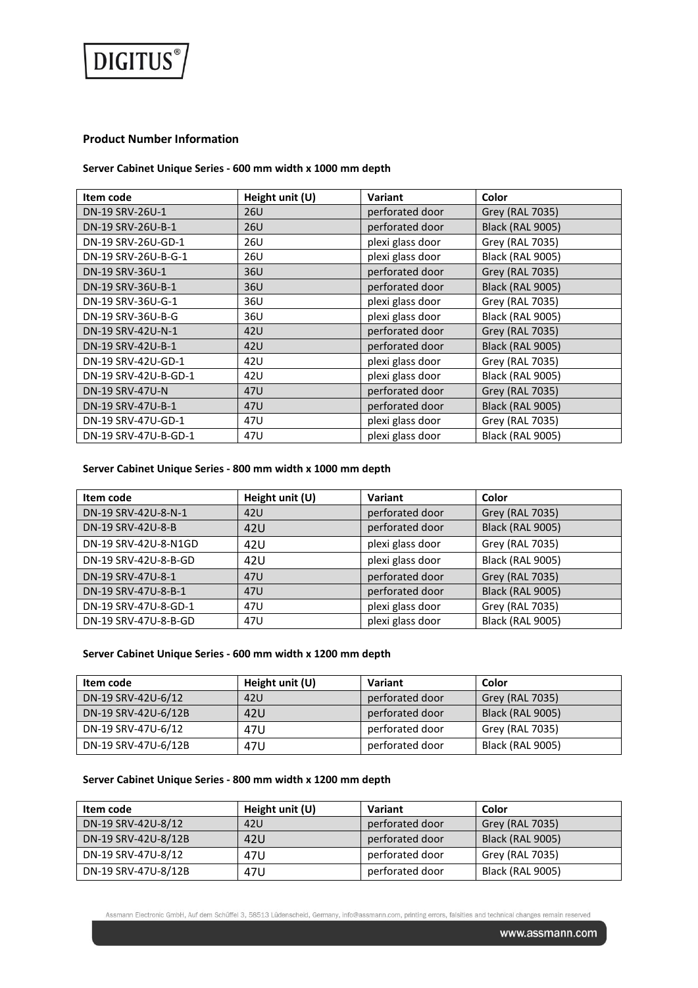

## **Product Number Information**

## **Server Cabinet Unique Series - 600 mm width x 1000 mm depth**

| Item code              | Height unit (U) | <b>Variant</b>   | Color                   |
|------------------------|-----------------|------------------|-------------------------|
| DN-19 SRV-26U-1        | 26U             | perforated door  | Grey (RAL 7035)         |
| DN-19 SRV-26U-B-1      | 26U             | perforated door  | <b>Black (RAL 9005)</b> |
| DN-19 SRV-26U-GD-1     | 26U             | plexi glass door | Grey (RAL 7035)         |
| DN-19 SRV-26U-B-G-1    | 26U             | plexi glass door | <b>Black (RAL 9005)</b> |
| DN-19 SRV-36U-1        | 36U             | perforated door  | Grey (RAL 7035)         |
| DN-19 SRV-36U-B-1      | 36U             | perforated door  | <b>Black (RAL 9005)</b> |
| DN-19 SRV-36U-G-1      | 36U             | plexi glass door | Grey (RAL 7035)         |
| DN-19 SRV-36U-B-G      | 36U             | plexi glass door | <b>Black (RAL 9005)</b> |
| DN-19 SRV-42U-N-1      | 42U             | perforated door  | <b>Grey (RAL 7035)</b>  |
| DN-19 SRV-42U-B-1      | 42U             | perforated door  | <b>Black (RAL 9005)</b> |
| DN-19 SRV-42U-GD-1     | 42U             | plexi glass door | Grey (RAL 7035)         |
| DN-19 SRV-42U-B-GD-1   | 42U             | plexi glass door | <b>Black (RAL 9005)</b> |
| <b>DN-19 SRV-47U-N</b> | 47U             | perforated door  | Grey (RAL 7035)         |
| DN-19 SRV-47U-B-1      | 47U             | perforated door  | <b>Black (RAL 9005)</b> |
| DN-19 SRV-47U-GD-1     | 47U             | plexi glass door | Grey (RAL 7035)         |
| DN-19 SRV-47U-B-GD-1   | 47U             | plexi glass door | <b>Black (RAL 9005)</b> |

## **Server Cabinet Unique Series - 800 mm width x 1000 mm depth**

| Item code            | Height unit (U) | Variant          | Color                   |
|----------------------|-----------------|------------------|-------------------------|
| DN-19 SRV-42U-8-N-1  | 42U             | perforated door  | Grey (RAL 7035)         |
| DN-19 SRV-42U-8-B    | 42U             | perforated door  | <b>Black (RAL 9005)</b> |
| DN-19 SRV-42U-8-N1GD | 42U             | plexi glass door | Grey (RAL 7035)         |
| DN-19 SRV-42U-8-B-GD | 42U             | plexi glass door | <b>Black (RAL 9005)</b> |
| DN-19 SRV-47U-8-1    | 47U             | perforated door  | Grey (RAL 7035)         |
| DN-19 SRV-47U-8-B-1  | 47U             | perforated door  | <b>Black (RAL 9005)</b> |
| DN-19 SRV-47U-8-GD-1 | 47U             | plexi glass door | Grey (RAL 7035)         |
| DN-19 SRV-47U-8-B-GD | 47U             | plexi glass door | <b>Black (RAL 9005)</b> |

## **Server Cabinet Unique Series - 600 mm width x 1200 mm depth**

| Item code           | Height unit (U) | Variant         | Color                   |
|---------------------|-----------------|-----------------|-------------------------|
| DN-19 SRV-42U-6/12  | 42U             | perforated door | Grey (RAL 7035)         |
| DN-19 SRV-42U-6/12B | 42U             | perforated door | <b>Black (RAL 9005)</b> |
| DN-19 SRV-47U-6/12  | 47U             | perforated door | Grey (RAL 7035)         |
| DN-19 SRV-47U-6/12B | 47U             | perforated door | Black (RAL 9005)        |

#### **Server Cabinet Unique Series - 800 mm width x 1200 mm depth**

| Item code           | Height unit (U) | Variant         | Color                   |
|---------------------|-----------------|-----------------|-------------------------|
| DN-19 SRV-42U-8/12  | 42U             | perforated door | Grey (RAL 7035)         |
| DN-19 SRV-42U-8/12B | 42U             | perforated door | <b>Black (RAL 9005)</b> |
| DN-19 SRV-47U-8/12  | 47U             | perforated door | Grey (RAL 7035)         |
| DN-19 SRV-47U-8/12B | 47U             | perforated door | Black (RAL 9005)        |

Assmann Electronic GmbH, Auf dem Schüffel 3, 58513 Lüdenscheid, Germany, info@assmann.com, printing errors, falsities and technical changes remain reserved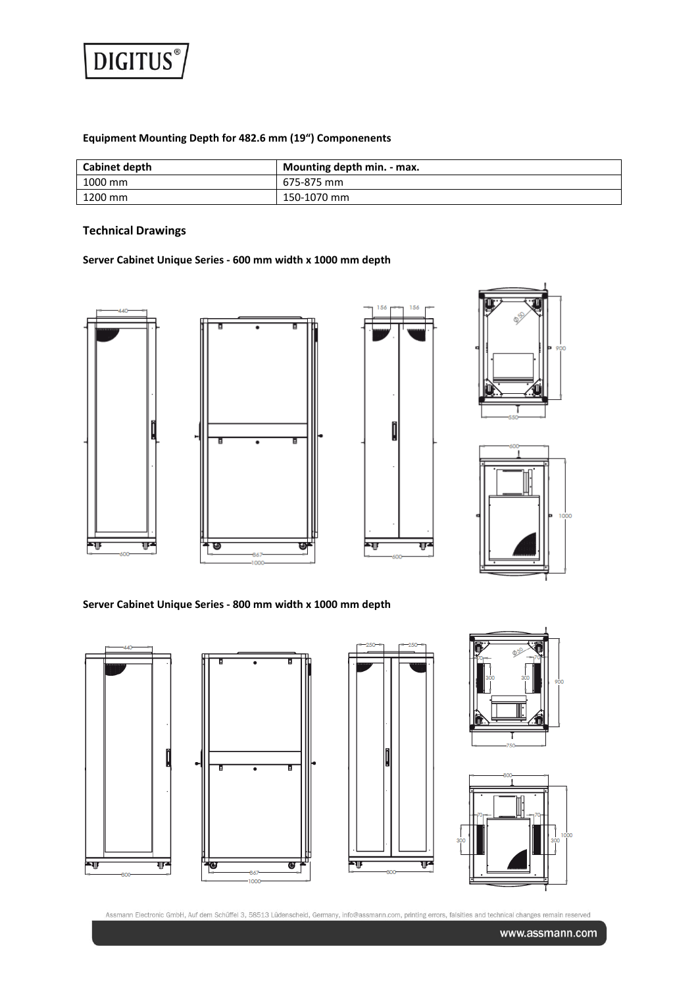

# **Equipment Mounting Depth for 482.6 mm (19") Componenents**

| Cabinet depth | Mounting depth min. - max. |
|---------------|----------------------------|
| 1000 mm       | 675-875 mm                 |
| 1200 mm       | 150-1070 mm                |

## **Technical Drawings**

## **Server Cabinet Unique Series - 600 mm width x 1000 mm depth**









**Server Cabinet Unique Series - 800 mm width x 1000 mm depth**



Assmann Electronic GmbH, Auf dem Schüffel 3, 58513 Lüdenscheid, Germany, info@assmann.com, printing errors, falsities and technical changes remain reserved

www.assmann.com